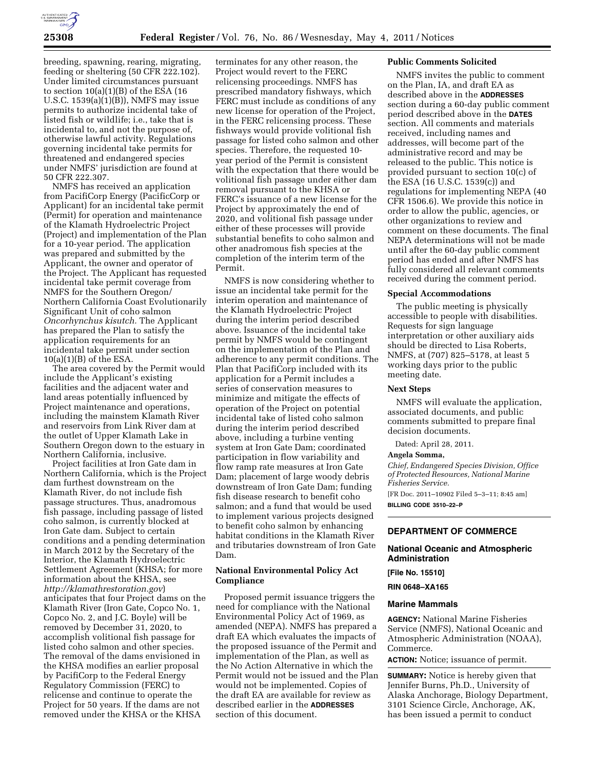

breeding, spawning, rearing, migrating, feeding or sheltering (50 CFR 222.102). Under limited circumstances pursuant to section  $10(a)(1)(B)$  of the ESA (16) U.S.C. 1539(a)(1)(B)), NMFS may issue permits to authorize incidental take of listed fish or wildlife; i.e., take that is incidental to, and not the purpose of, otherwise lawful activity. Regulations governing incidental take permits for threatened and endangered species under NMFS' jurisdiction are found at 50 CFR 222.307.

NMFS has received an application from PacifiCorp Energy (PacificCorp or Applicant) for an incidental take permit (Permit) for operation and maintenance of the Klamath Hydroelectric Project (Project) and implementation of the Plan for a 10-year period. The application was prepared and submitted by the Applicant, the owner and operator of the Project. The Applicant has requested incidental take permit coverage from NMFS for the Southern Oregon/ Northern California Coast Evolutionarily Significant Unit of coho salmon *Oncorhynchus kisutch.* The Applicant has prepared the Plan to satisfy the application requirements for an incidental take permit under section 10(a)(1)(B) of the ESA.

The area covered by the Permit would include the Applicant's existing facilities and the adjacent water and land areas potentially influenced by Project maintenance and operations, including the mainstem Klamath River and reservoirs from Link River dam at the outlet of Upper Klamath Lake in Southern Oregon down to the estuary in Northern California, inclusive.

Project facilities at Iron Gate dam in Northern California, which is the Project dam furthest downstream on the Klamath River, do not include fish passage structures. Thus, anadromous fish passage, including passage of listed coho salmon, is currently blocked at Iron Gate dam. Subject to certain conditions and a pending determination in March 2012 by the Secretary of the Interior, the Klamath Hydroelectric Settlement Agreement (KHSA; for more information about the KHSA, see *<http://klamathrestoration.gov>*) anticipates that four Project dams on the Klamath River (Iron Gate, Copco No. 1, Copco No. 2, and J.C. Boyle) will be removed by December 31, 2020, to accomplish volitional fish passage for listed coho salmon and other species. The removal of the dams envisioned in the KHSA modifies an earlier proposal by PacifiCorp to the Federal Energy Regulatory Commission (FERC) to relicense and continue to operate the Project for 50 years. If the dams are not removed under the KHSA or the KHSA

terminates for any other reason, the Project would revert to the FERC relicensing proceedings. NMFS has prescribed mandatory fishways, which FERC must include as conditions of any new license for operation of the Project, in the FERC relicensing process. These fishways would provide volitional fish passage for listed coho salmon and other species. Therefore, the requested 10 year period of the Permit is consistent with the expectation that there would be volitional fish passage under either dam removal pursuant to the KHSA or FERC's issuance of a new license for the Project by approximately the end of 2020, and volitional fish passage under either of these processes will provide substantial benefits to coho salmon and other anadromous fish species at the completion of the interim term of the Permit.

NMFS is now considering whether to issue an incidental take permit for the interim operation and maintenance of the Klamath Hydroelectric Project during the interim period described above. Issuance of the incidental take permit by NMFS would be contingent on the implementation of the Plan and adherence to any permit conditions. The Plan that PacifiCorp included with its application for a Permit includes a series of conservation measures to minimize and mitigate the effects of operation of the Project on potential incidental take of listed coho salmon during the interim period described above, including a turbine venting system at Iron Gate Dam; coordinated participation in flow variability and flow ramp rate measures at Iron Gate Dam; placement of large woody debris downstream of Iron Gate Dam; funding fish disease research to benefit coho salmon; and a fund that would be used to implement various projects designed to benefit coho salmon by enhancing habitat conditions in the Klamath River and tributaries downstream of Iron Gate Dam.

## **National Environmental Policy Act Compliance**

Proposed permit issuance triggers the need for compliance with the National Environmental Policy Act of 1969, as amended (NEPA). NMFS has prepared a draft EA which evaluates the impacts of the proposed issuance of the Permit and implementation of the Plan, as well as the No Action Alternative in which the Permit would not be issued and the Plan would not be implemented. Copies of the draft EA are available for review as described earlier in the **ADDRESSES** section of this document.

### **Public Comments Solicited**

NMFS invites the public to comment on the Plan, IA, and draft EA as described above in the **ADDRESSES** section during a 60-day public comment period described above in the **DATES** section. All comments and materials received, including names and addresses, will become part of the administrative record and may be released to the public. This notice is provided pursuant to section 10(c) of the ESA (16 U.S.C. 1539(c)) and regulations for implementing NEPA (40 CFR 1506.6). We provide this notice in order to allow the public, agencies, or other organizations to review and comment on these documents. The final NEPA determinations will not be made until after the 60-day public comment period has ended and after NMFS has fully considered all relevant comments received during the comment period.

#### **Special Accommodations**

The public meeting is physically accessible to people with disabilities. Requests for sign language interpretation or other auxiliary aids should be directed to Lisa Roberts, NMFS, at (707) 825–5178, at least 5 working days prior to the public meeting date.

### **Next Steps**

NMFS will evaluate the application, associated documents, and public comments submitted to prepare final decision documents.

Dated: April 28, 2011.

### **Angela Somma,**

*Chief, Endangered Species Division, Office of Protected Resources, National Marine Fisheries Service.* 

[FR Doc. 2011–10902 Filed 5–3–11; 8:45 am] **BILLING CODE 3510–22–P** 

# **DEPARTMENT OF COMMERCE**

## **National Oceanic and Atmospheric Administration**

**[File No. 15510]** 

### **RIN 0648–XA165**

#### **Marine Mammals**

**AGENCY:** National Marine Fisheries Service (NMFS), National Oceanic and Atmospheric Administration (NOAA), Commerce.

**ACTION:** Notice; issuance of permit.

**SUMMARY:** Notice is hereby given that Jennifer Burns, Ph.D., University of Alaska Anchorage, Biology Department, 3101 Science Circle, Anchorage, AK, has been issued a permit to conduct